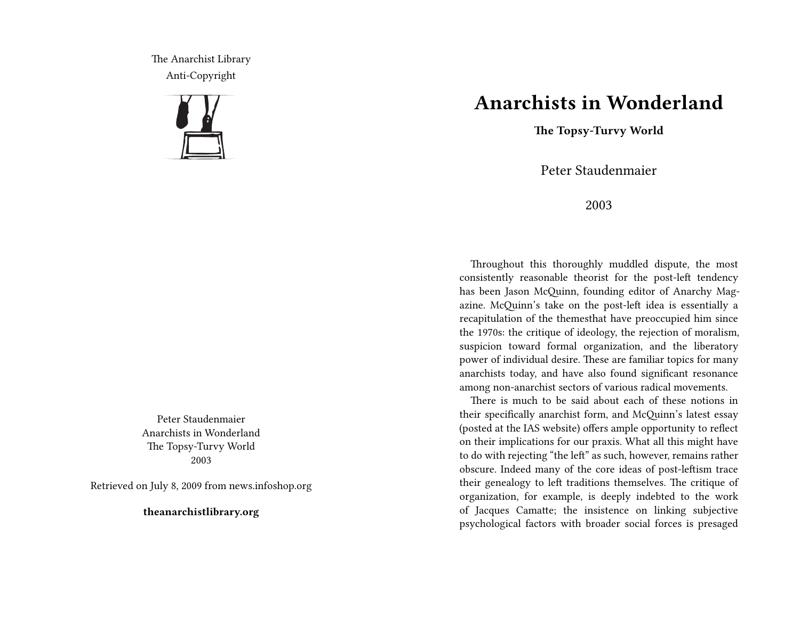The Anarchist Library Anti-Copyright



Peter Staudenmaier Anarchists in Wonderland The Topsy-Turvy World 2003

Retrieved on July 8, 2009 from news.infoshop.org

**theanarchistlibrary.org**

## **Anarchists in Wonderland**

**The Topsy-Turvy World**

Peter Staudenmaier

2003

Throughout this thoroughly muddled dispute, the most consistently reasonable theorist for the post-left tendency has been Jason McQuinn, founding editor of Anarchy Magazine. McQuinn's take on the post-left idea is essentially a recapitulation of the themesthat have preoccupied him since the 1970s: the critique of ideology, the rejection of moralism, suspicion toward formal organization, and the liberatory power of individual desire. These are familiar topics for many anarchists today, and have also found significant resonance among non-anarchist sectors of various radical movements.

There is much to be said about each of these notions in their specifically anarchist form, and McQuinn's latest essay (posted at the IAS website) offers ample opportunity to reflect on their implications for our praxis. What all this might have to do with rejecting "the left" as such, however, remains rather obscure. Indeed many of the core ideas of post-leftism trace their genealogy to left traditions themselves. The critique of organization, for example, is deeply indebted to the work of Jacques Camatte; the insistence on linking subjective psychological factors with broader social forces is presaged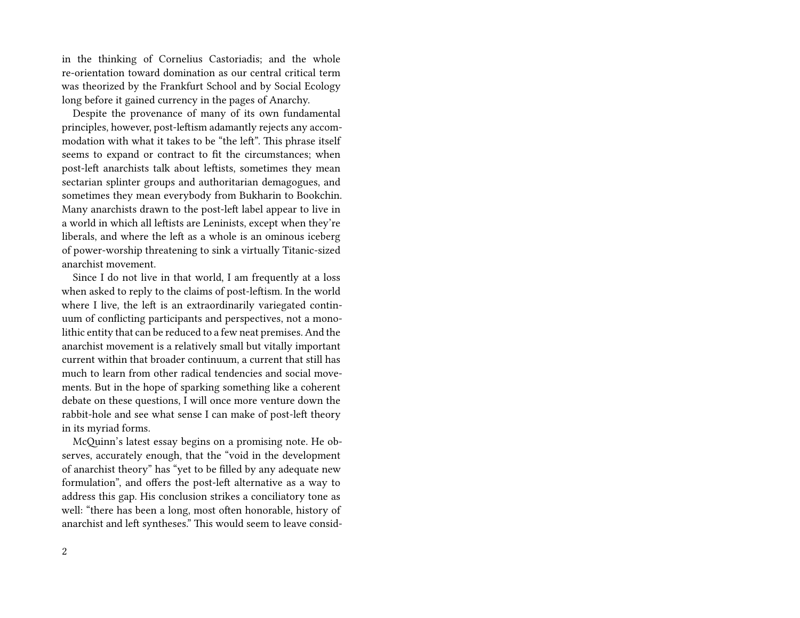in the thinking of Cornelius Castoriadis; and the whole re-orientation toward domination as our central critical term was theorized by the Frankfurt School and by Social Ecology long before it gained currency in the pages of Anarchy.

Despite the provenance of many of its own fundamental principles, however, post-leftism adamantly rejects any accommodation with what it takes to be "the left". This phrase itself seems to expand or contract to fit the circumstances; when post-left anarchists talk about leftists, sometimes they mean sectarian splinter groups and authoritarian demagogues, and sometimes they mean everybody from Bukharin to Bookchin. Many anarchists drawn to the post-left label appear to live in a world in which all leftists are Leninists, except when they're liberals, and where the left as a whole is an ominous iceberg of power-worship threatening to sink a virtually Titanic-sized anarchist movement.

Since I do not live in that world, I am frequently at a loss when asked to reply to the claims of post-leftism. In the world where I live, the left is an extraordinarily variegated continuum of conflicting participants and perspectives, not a monolithic entity that can be reduced to a few neat premises. And the anarchist movement is a relatively small but vitally important current within that broader continuum, a current that still has much to learn from other radical tendencies and social movements. But in the hope of sparking something like a coherent debate on these questions, I will once more venture down the rabbit-hole and see what sense I can make of post-left theory in its myriad forms.

McQuinn's latest essay begins on a promising note. He observes, accurately enough, that the "void in the development of anarchist theory" has "yet to be filled by any adequate new formulation", and offers the post-left alternative as a way to address this gap. His conclusion strikes a conciliatory tone as well: "there has been a long, most often honorable, history of anarchist and left syntheses." This would seem to leave consid-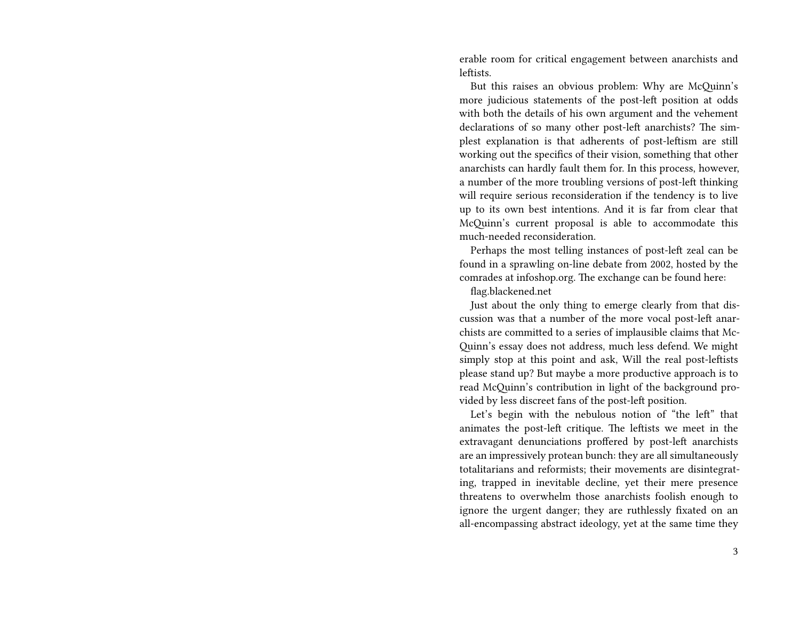erable room for critical engagement between anarchists and leftists.

But this raises an obvious problem: Why are McQuinn's more judicious statements of the post-left position at odds with both the details of his own argument and the vehement declarations of so many other post-left anarchists? The simplest explanation is that adherents of post-leftism are still working out the specifics of their vision, something that other anarchists can hardly fault them for. In this process, however, a number of the more troubling versions of post-left thinking will require serious reconsideration if the tendency is to live up to its own best intentions. And it is far from clear that McQuinn's current proposal is able to accommodate this much-needed reconsideration.

Perhaps the most telling instances of post-left zeal can be found in a sprawling on-line debate from 2002, hosted by the comrades at infoshop.org. The exchange can be found here:

flag.blackened.net

Just about the only thing to emerge clearly from that discussion was that a number of the more vocal post-left anarchists are committed to a series of implausible claims that Mc-Quinn's essay does not address, much less defend. We might simply stop at this point and ask, Will the real post-leftists please stand up? But maybe a more productive approach is to read McQuinn's contribution in light of the background provided by less discreet fans of the post-left position.

Let's begin with the nebulous notion of "the left" that animates the post-left critique. The leftists we meet in the extravagant denunciations proffered by post-left anarchists are an impressively protean bunch: they are all simultaneously totalitarians and reformists; their movements are disintegrating, trapped in inevitable decline, yet their mere presence threatens to overwhelm those anarchists foolish enough to ignore the urgent danger; they are ruthlessly fixated on an all-encompassing abstract ideology, yet at the same time they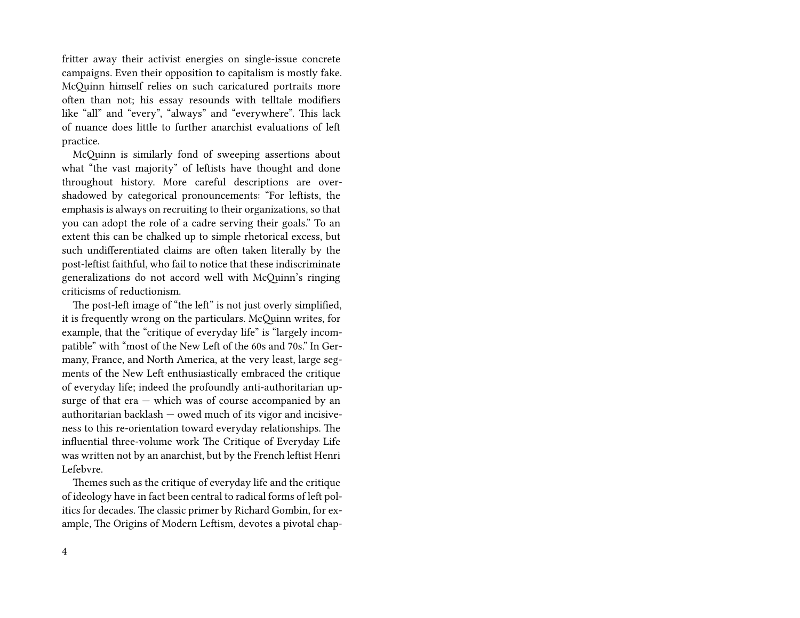fritter away their activist energies on single-issue concrete campaigns. Even their opposition to capitalism is mostly fake. McQuinn himself relies on such caricatured portraits more often than not; his essay resounds with telltale modifiers like "all" and "every", "always" and "everywhere". This lack of nuance does little to further anarchist evaluations of left practice.

McQuinn is similarly fond of sweeping assertions about what "the vast majority" of leftists have thought and done throughout history. More careful descriptions are overshadowed by categorical pronouncements: "For leftists, the emphasis is always on recruiting to their organizations, so that you can adopt the role of a cadre serving their goals." To an extent this can be chalked up to simple rhetorical excess, but such undifferentiated claims are often taken literally by the post-leftist faithful, who fail to notice that these indiscriminate generalizations do not accord well with McQuinn's ringing criticisms of reductionism.

The post-left image of "the left" is not just overly simplified, it is frequently wrong on the particulars. McQuinn writes, for example, that the "critique of everyday life" is "largely incompatible" with "most of the New Left of the 60s and 70s." In Germany, France, and North America, at the very least, large segments of the New Left enthusiastically embraced the critique of everyday life; indeed the profoundly anti-authoritarian upsurge of that era — which was of course accompanied by an authoritarian backlash — owed much of its vigor and incisiveness to this re-orientation toward everyday relationships. The influential three-volume work The Critique of Everyday Life was written not by an anarchist, but by the French leftist Henri Lefebvre.

Themes such as the critique of everyday life and the critique of ideology have in fact been central to radical forms of left politics for decades. The classic primer by Richard Gombin, for example, The Origins of Modern Leftism, devotes a pivotal chap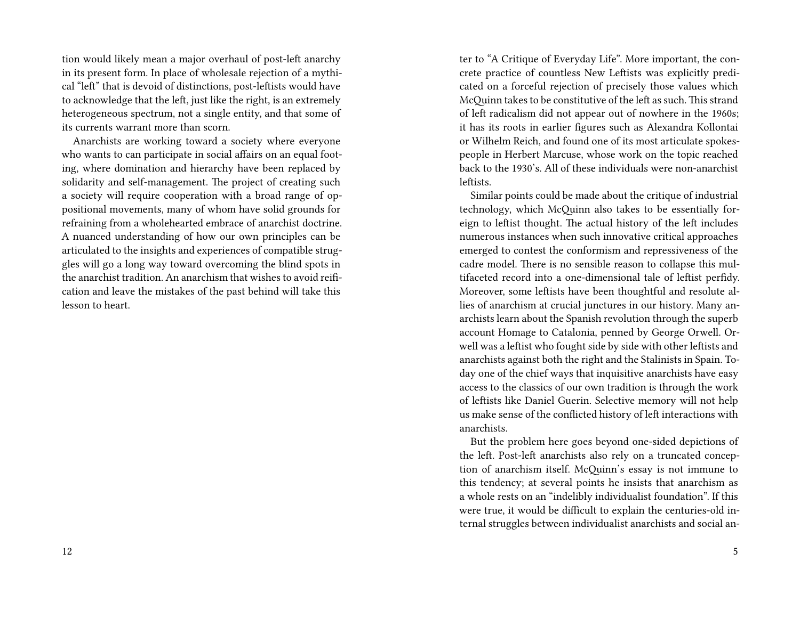tion would likely mean a major overhaul of post-left anarchy in its present form. In place of wholesale rejection of a mythical "left" that is devoid of distinctions, post-leftists would have to acknowledge that the left, just like the right, is an extremely heterogeneous spectrum, not a single entity, and that some of its currents warrant more than scorn.

Anarchists are working toward a society where everyone who wants to can participate in social affairs on an equal footing, where domination and hierarchy have been replaced by solidarity and self-management. The project of creating such a society will require cooperation with a broad range of oppositional movements, many of whom have solid grounds for refraining from a wholehearted embrace of anarchist doctrine. A nuanced understanding of how our own principles can be articulated to the insights and experiences of compatible struggles will go a long way toward overcoming the blind spots in the anarchist tradition. An anarchism that wishes to avoid reification and leave the mistakes of the past behind will take this lesson to heart.

ter to "A Critique of Everyday Life". More important, the concrete practice of countless New Leftists was explicitly predicated on a forceful rejection of precisely those values which McQuinn takes to be constitutive of the left as such. This strand of left radicalism did not appear out of nowhere in the 1960s; it has its roots in earlier figures such as Alexandra Kollontai or Wilhelm Reich, and found one of its most articulate spokespeople in Herbert Marcuse, whose work on the topic reached back to the 1930's. All of these individuals were non-anarchist leftists.

Similar points could be made about the critique of industrial technology, which McQuinn also takes to be essentially foreign to leftist thought. The actual history of the left includes numerous instances when such innovative critical approaches emerged to contest the conformism and repressiveness of the cadre model. There is no sensible reason to collapse this multifaceted record into a one-dimensional tale of leftist perfidy. Moreover, some leftists have been thoughtful and resolute allies of anarchism at crucial junctures in our history. Many anarchists learn about the Spanish revolution through the superb account Homage to Catalonia, penned by George Orwell. Orwell was a leftist who fought side by side with other leftists and anarchists against both the right and the Stalinists in Spain. Today one of the chief ways that inquisitive anarchists have easy access to the classics of our own tradition is through the work of leftists like Daniel Guerin. Selective memory will not help us make sense of the conflicted history of left interactions with anarchists.

But the problem here goes beyond one-sided depictions of the left. Post-left anarchists also rely on a truncated conception of anarchism itself. McQuinn's essay is not immune to this tendency; at several points he insists that anarchism as a whole rests on an "indelibly individualist foundation". If this were true, it would be difficult to explain the centuries-old internal struggles between individualist anarchists and social an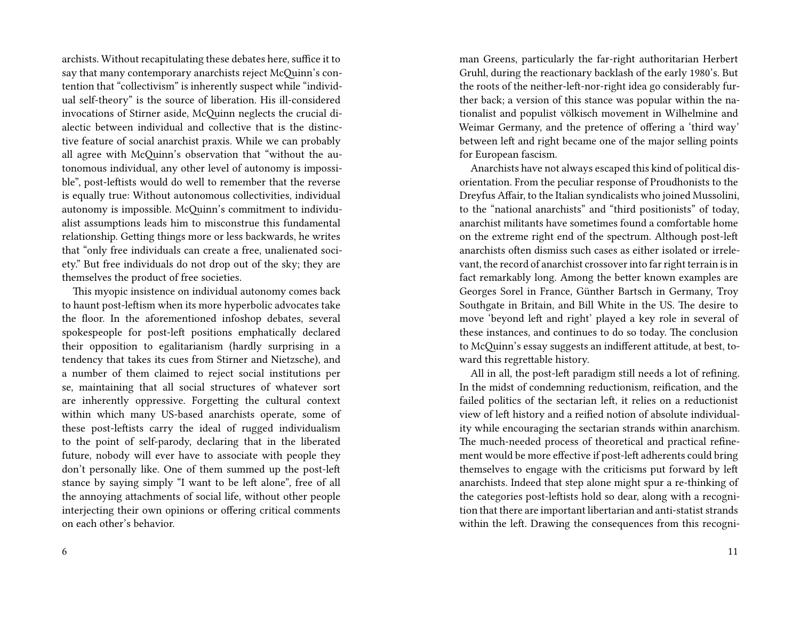archists. Without recapitulating these debates here, suffice it to say that many contemporary anarchists reject McQuinn's contention that "collectivism" is inherently suspect while "individual self-theory" is the source of liberation. His ill-considered invocations of Stirner aside, McQuinn neglects the crucial dialectic between individual and collective that is the distinctive feature of social anarchist praxis. While we can probably all agree with McQuinn's observation that "without the autonomous individual, any other level of autonomy is impossible", post-leftists would do well to remember that the reverse is equally true: Without autonomous collectivities, individual autonomy is impossible. McQuinn's commitment to individualist assumptions leads him to misconstrue this fundamental relationship. Getting things more or less backwards, he writes that "only free individuals can create a free, unalienated society." But free individuals do not drop out of the sky; they are themselves the product of free societies.

This myopic insistence on individual autonomy comes back to haunt post-leftism when its more hyperbolic advocates take the floor. In the aforementioned infoshop debates, several spokespeople for post-left positions emphatically declared their opposition to egalitarianism (hardly surprising in a tendency that takes its cues from Stirner and Nietzsche), and a number of them claimed to reject social institutions per se, maintaining that all social structures of whatever sort are inherently oppressive. Forgetting the cultural context within which many US-based anarchists operate, some of these post-leftists carry the ideal of rugged individualism to the point of self-parody, declaring that in the liberated future, nobody will ever have to associate with people they don't personally like. One of them summed up the post-left stance by saying simply "I want to be left alone", free of all the annoying attachments of social life, without other people interjecting their own opinions or offering critical comments on each other's behavior.

man Greens, particularly the far-right authoritarian Herbert Gruhl, during the reactionary backlash of the early 1980's. But the roots of the neither-left-nor-right idea go considerably further back; a version of this stance was popular within the nationalist and populist völkisch movement in Wilhelmine and Weimar Germany, and the pretence of offering a 'third way' between left and right became one of the major selling points for European fascism.

Anarchists have not always escaped this kind of political disorientation. From the peculiar response of Proudhonists to the Dreyfus Affair, to the Italian syndicalists who joined Mussolini, to the "national anarchists" and "third positionists" of today, anarchist militants have sometimes found a comfortable home on the extreme right end of the spectrum. Although post-left anarchists often dismiss such cases as either isolated or irrelevant, the record of anarchist crossover into far right terrain is in fact remarkably long. Among the better known examples are Georges Sorel in France, Günther Bartsch in Germany, Troy Southgate in Britain, and Bill White in the US. The desire to move 'beyond left and right' played a key role in several of these instances, and continues to do so today. The conclusion to McQuinn's essay suggests an indifferent attitude, at best, toward this regrettable history.

All in all, the post-left paradigm still needs a lot of refining. In the midst of condemning reductionism, reification, and the failed politics of the sectarian left, it relies on a reductionist view of left history and a reified notion of absolute individuality while encouraging the sectarian strands within anarchism. The much-needed process of theoretical and practical refinement would be more effective if post-left adherents could bring themselves to engage with the criticisms put forward by left anarchists. Indeed that step alone might spur a re-thinking of the categories post-leftists hold so dear, along with a recognition that there are important libertarian and anti-statist strands within the left. Drawing the consequences from this recogni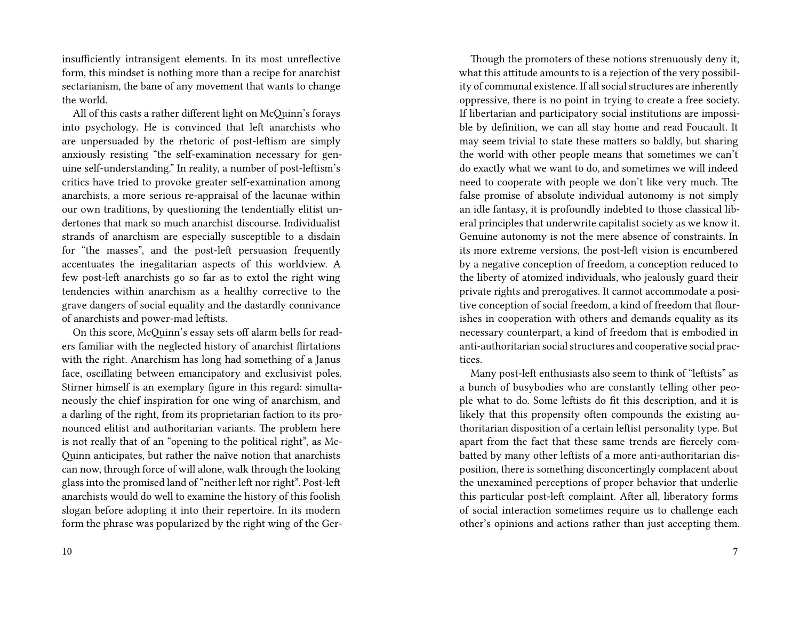insufficiently intransigent elements. In its most unreflective form, this mindset is nothing more than a recipe for anarchist sectarianism, the bane of any movement that wants to change the world.

All of this casts a rather different light on McQuinn's forays into psychology. He is convinced that left anarchists who are unpersuaded by the rhetoric of post-leftism are simply anxiously resisting "the self-examination necessary for genuine self-understanding." In reality, a number of post-leftism's critics have tried to provoke greater self-examination among anarchists, a more serious re-appraisal of the lacunae within our own traditions, by questioning the tendentially elitist undertones that mark so much anarchist discourse. Individualist strands of anarchism are especially susceptible to a disdain for "the masses", and the post-left persuasion frequently accentuates the inegalitarian aspects of this worldview. A few post-left anarchists go so far as to extol the right wing tendencies within anarchism as a healthy corrective to the grave dangers of social equality and the dastardly connivance of anarchists and power-mad leftists.

On this score, McQuinn's essay sets off alarm bells for readers familiar with the neglected history of anarchist flirtations with the right. Anarchism has long had something of a Janus face, oscillating between emancipatory and exclusivist poles. Stirner himself is an exemplary figure in this regard: simultaneously the chief inspiration for one wing of anarchism, and a darling of the right, from its proprietarian faction to its pronounced elitist and authoritarian variants. The problem here is not really that of an "opening to the political right", as Mc-Quinn anticipates, but rather the naïve notion that anarchists can now, through force of will alone, walk through the looking glass into the promised land of "neither left nor right". Post-left anarchists would do well to examine the history of this foolish slogan before adopting it into their repertoire. In its modern form the phrase was popularized by the right wing of the Ger-

Though the promoters of these notions strenuously deny it, what this attitude amounts to is a rejection of the very possibility of communal existence. If all social structures are inherently oppressive, there is no point in trying to create a free society. If libertarian and participatory social institutions are impossible by definition, we can all stay home and read Foucault. It may seem trivial to state these matters so baldly, but sharing the world with other people means that sometimes we can't do exactly what we want to do, and sometimes we will indeed need to cooperate with people we don't like very much. The false promise of absolute individual autonomy is not simply an idle fantasy, it is profoundly indebted to those classical liberal principles that underwrite capitalist society as we know it. Genuine autonomy is not the mere absence of constraints. In its more extreme versions, the post-left vision is encumbered by a negative conception of freedom, a conception reduced to the liberty of atomized individuals, who jealously guard their private rights and prerogatives. It cannot accommodate a positive conception of social freedom, a kind of freedom that flourishes in cooperation with others and demands equality as its necessary counterpart, a kind of freedom that is embodied in anti-authoritarian social structures and cooperative social practices.

Many post-left enthusiasts also seem to think of "leftists" as a bunch of busybodies who are constantly telling other people what to do. Some leftists do fit this description, and it is likely that this propensity often compounds the existing authoritarian disposition of a certain leftist personality type. But apart from the fact that these same trends are fiercely combatted by many other leftists of a more anti-authoritarian disposition, there is something disconcertingly complacent about the unexamined perceptions of proper behavior that underlie this particular post-left complaint. After all, liberatory forms of social interaction sometimes require us to challenge each other's opinions and actions rather than just accepting them.